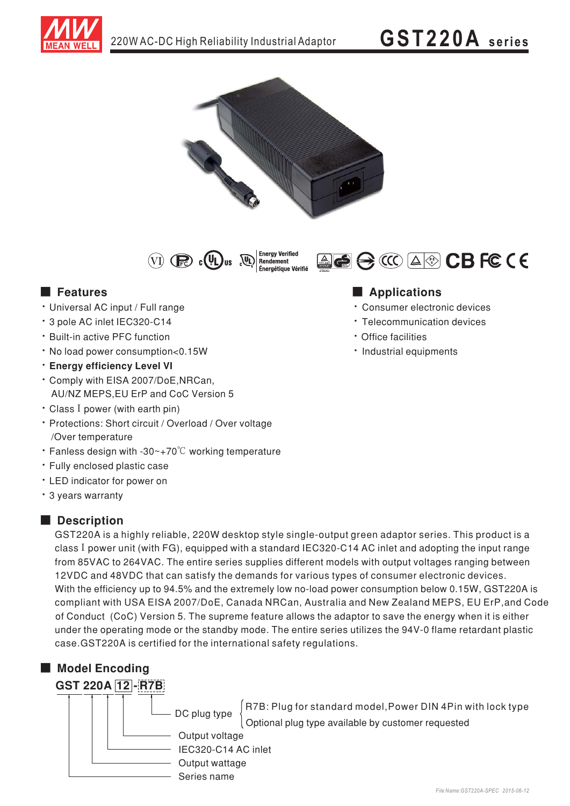







- · Universal AC input / Full range
- \* 3 pole AC inlet IEC320-C14
- \* Built-in active PFC function
- . No load power consumption<0.15W
- · Energy efficiency Level VI
- \* Comply with EISA 2007/DoE, NRCan, AU/NZ MEPS, EU ErP and CoC Version 5
- Class I power (with earth pin)
- · Protections: Short circuit / Overload / Over voltage /Over temperature
- Fanless design with -30 $\sim$ +70 $\degree$ C working temperature
- · Fully enclosed plastic case
- LED indicator for power on
- \* 3 years warranty

#### Description

GST220A is a highly reliable, 220W desktop style single-output green adaptor series. This product is a class I power unit (with FG), equipped with a standard IEC320-C14 AC inlet and adopting the input range from 85VAC to 264VAC. The entire series supplies different models with output voltages ranging between 12VDC and 48VDC that can satisfy the demands for various types of consumer electronic devices. With the efficiency up to 94.5% and the extremely low no-load power consumption below 0.15W, GST220A is compliant with USA EISA 2007/DoE, Canada NRCan, Australia and New Zealand MEPS, EU ErP, and Code of Conduct (CoC) Version 5. The supreme feature allows the adaptor to save the energy when it is either under the operating mode or the standby mode. The entire series utilizes the 94V-0 flame retardant plastic case.GST220A is certified for the international safety regulations.



## **Applications**

· Consumer electronic devices

ACCA®CBFCCE

- Telecommunication devices
- · Office facilities
- · Industrial equipments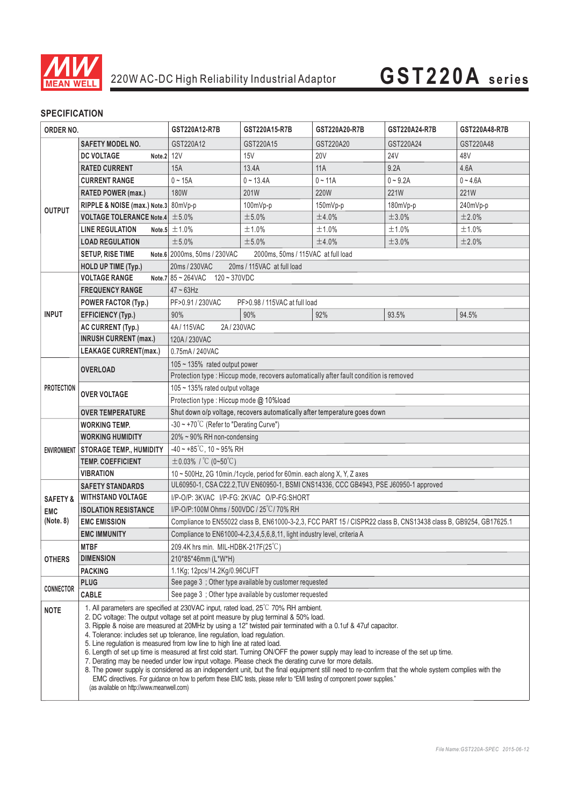

# **GST220A series**

### **SPECIFICATION**

| ORDER NO.           |                                                                                                                                                                                                                                                                                                                                                                                                                                                                                                                                                                                                                                                                                                                                                                                                                                                                                                                                                                                                                                                 | GST220A12-R7B                                                                                                    | GST220A15-R7B                                                                         | GST220A20-R7B | GST220A24-R7B   | GST220A48-R7B |  |
|---------------------|-------------------------------------------------------------------------------------------------------------------------------------------------------------------------------------------------------------------------------------------------------------------------------------------------------------------------------------------------------------------------------------------------------------------------------------------------------------------------------------------------------------------------------------------------------------------------------------------------------------------------------------------------------------------------------------------------------------------------------------------------------------------------------------------------------------------------------------------------------------------------------------------------------------------------------------------------------------------------------------------------------------------------------------------------|------------------------------------------------------------------------------------------------------------------|---------------------------------------------------------------------------------------|---------------|-----------------|---------------|--|
|                     | <b>SAFETY MODEL NO.</b>                                                                                                                                                                                                                                                                                                                                                                                                                                                                                                                                                                                                                                                                                                                                                                                                                                                                                                                                                                                                                         | GST220A12                                                                                                        | GST220A15                                                                             | GST220A20     | GST220A24       | GST220A48     |  |
| <b>OUTPUT</b>       | Note.2 12V<br><b>DC VOLTAGE</b>                                                                                                                                                                                                                                                                                                                                                                                                                                                                                                                                                                                                                                                                                                                                                                                                                                                                                                                                                                                                                 |                                                                                                                  | 15V                                                                                   | <b>20V</b>    | 24 <sub>V</sub> | 48V           |  |
|                     | <b>RATED CURRENT</b>                                                                                                                                                                                                                                                                                                                                                                                                                                                                                                                                                                                                                                                                                                                                                                                                                                                                                                                                                                                                                            | 15A                                                                                                              | 13.4A                                                                                 | 11A           | 9.2A            | 4.6A          |  |
|                     | <b>CURRENT RANGE</b>                                                                                                                                                                                                                                                                                                                                                                                                                                                                                                                                                                                                                                                                                                                                                                                                                                                                                                                                                                                                                            | $0 - 15A$                                                                                                        | $0 - 13.4A$                                                                           | $0 - 11A$     | $0 - 9.2A$      | $0 - 4.6A$    |  |
|                     | RATED POWER (max.)                                                                                                                                                                                                                                                                                                                                                                                                                                                                                                                                                                                                                                                                                                                                                                                                                                                                                                                                                                                                                              | <b>180W</b>                                                                                                      | 201W                                                                                  | 220W          | 221W            | 221W          |  |
|                     | RIPPLE & NOISE (max.) Note.3 80mVp-p                                                                                                                                                                                                                                                                                                                                                                                                                                                                                                                                                                                                                                                                                                                                                                                                                                                                                                                                                                                                            |                                                                                                                  | 100mVp-p                                                                              | 150mVp-p      | 180mVp-p        | 240mVp-p      |  |
|                     | <b>VOLTAGE TOLERANCE Note.4</b> $\pm$ 5.0%                                                                                                                                                                                                                                                                                                                                                                                                                                                                                                                                                                                                                                                                                                                                                                                                                                                                                                                                                                                                      |                                                                                                                  | ±5.0%                                                                                 | ±4.0%         | ±3.0%           | ±2.0%         |  |
|                     | <b>LINE REGULATION</b>                                                                                                                                                                                                                                                                                                                                                                                                                                                                                                                                                                                                                                                                                                                                                                                                                                                                                                                                                                                                                          | Note.5 $\pm$ 1.0%                                                                                                | ±1.0%                                                                                 | ±1.0%         | ±1.0%           | ±1.0%         |  |
|                     | <b>LOAD REGULATION</b>                                                                                                                                                                                                                                                                                                                                                                                                                                                                                                                                                                                                                                                                                                                                                                                                                                                                                                                                                                                                                          | ±5.0%                                                                                                            | ±5.0%                                                                                 | ±4.0%         | ±3.0%           | ±2.0%         |  |
|                     | <b>SETUP, RISE TIME</b>                                                                                                                                                                                                                                                                                                                                                                                                                                                                                                                                                                                                                                                                                                                                                                                                                                                                                                                                                                                                                         | Note.6 2000ms, 50ms / 230VAC<br>2000ms, 50ms / 115VAC at full load                                               |                                                                                       |               |                 |               |  |
|                     | <b>HOLD UP TIME (Typ.)</b>                                                                                                                                                                                                                                                                                                                                                                                                                                                                                                                                                                                                                                                                                                                                                                                                                                                                                                                                                                                                                      | 20ms / 230VAC<br>20ms / 115VAC at full load                                                                      |                                                                                       |               |                 |               |  |
|                     | <b>VOLTAGE RANGE</b>                                                                                                                                                                                                                                                                                                                                                                                                                                                                                                                                                                                                                                                                                                                                                                                                                                                                                                                                                                                                                            | Note.7 $85 - 264$ VAC<br>120~370VDC                                                                              |                                                                                       |               |                 |               |  |
| <b>INPUT</b>        | <b>FREQUENCY RANGE</b>                                                                                                                                                                                                                                                                                                                                                                                                                                                                                                                                                                                                                                                                                                                                                                                                                                                                                                                                                                                                                          | $47 \sim 63$ Hz                                                                                                  |                                                                                       |               |                 |               |  |
|                     | <b>POWER FACTOR (Typ.)</b>                                                                                                                                                                                                                                                                                                                                                                                                                                                                                                                                                                                                                                                                                                                                                                                                                                                                                                                                                                                                                      | PF>0.91 / 230VAC<br>PF>0.98 / 115VAC at full load                                                                |                                                                                       |               |                 |               |  |
|                     | <b>EFFICIENCY (Typ.)</b>                                                                                                                                                                                                                                                                                                                                                                                                                                                                                                                                                                                                                                                                                                                                                                                                                                                                                                                                                                                                                        | 90%                                                                                                              | 90%                                                                                   | 92%           | 93.5%           | 94.5%         |  |
|                     | <b>AC CURRENT (Typ.)</b>                                                                                                                                                                                                                                                                                                                                                                                                                                                                                                                                                                                                                                                                                                                                                                                                                                                                                                                                                                                                                        | 4A/115VAC<br>2A/230VAC                                                                                           |                                                                                       |               |                 |               |  |
|                     | <b>INRUSH CURRENT (max.)</b>                                                                                                                                                                                                                                                                                                                                                                                                                                                                                                                                                                                                                                                                                                                                                                                                                                                                                                                                                                                                                    | 120A/230VAC                                                                                                      |                                                                                       |               |                 |               |  |
|                     | <b>LEAKAGE CURRENT(max.)</b>                                                                                                                                                                                                                                                                                                                                                                                                                                                                                                                                                                                                                                                                                                                                                                                                                                                                                                                                                                                                                    | 0.75mA / 240VAC                                                                                                  |                                                                                       |               |                 |               |  |
| <b>PROTECTION</b>   |                                                                                                                                                                                                                                                                                                                                                                                                                                                                                                                                                                                                                                                                                                                                                                                                                                                                                                                                                                                                                                                 | 105 ~ 135% rated output power                                                                                    |                                                                                       |               |                 |               |  |
|                     | <b>OVERLOAD</b>                                                                                                                                                                                                                                                                                                                                                                                                                                                                                                                                                                                                                                                                                                                                                                                                                                                                                                                                                                                                                                 | Protection type : Hiccup mode, recovers automatically after fault condition is removed                           |                                                                                       |               |                 |               |  |
|                     |                                                                                                                                                                                                                                                                                                                                                                                                                                                                                                                                                                                                                                                                                                                                                                                                                                                                                                                                                                                                                                                 | 105 ~ 135% rated output voltage                                                                                  |                                                                                       |               |                 |               |  |
|                     | <b>OVER VOLTAGE</b>                                                                                                                                                                                                                                                                                                                                                                                                                                                                                                                                                                                                                                                                                                                                                                                                                                                                                                                                                                                                                             | Protection type : Hiccup mode @ 10%load                                                                          |                                                                                       |               |                 |               |  |
|                     | <b>OVER TEMPERATURE</b>                                                                                                                                                                                                                                                                                                                                                                                                                                                                                                                                                                                                                                                                                                                                                                                                                                                                                                                                                                                                                         | Shut down o/p voltage, recovers automatically after temperature goes down                                        |                                                                                       |               |                 |               |  |
| <b>ENVIRONMENT</b>  | <b>WORKING TEMP.</b>                                                                                                                                                                                                                                                                                                                                                                                                                                                                                                                                                                                                                                                                                                                                                                                                                                                                                                                                                                                                                            | -30 ~ +70°C (Refer to "Derating Curve")                                                                          |                                                                                       |               |                 |               |  |
|                     | <b>WORKING HUMIDITY</b>                                                                                                                                                                                                                                                                                                                                                                                                                                                                                                                                                                                                                                                                                                                                                                                                                                                                                                                                                                                                                         | 20% ~ 90% RH non-condensing                                                                                      |                                                                                       |               |                 |               |  |
|                     | <b>STORAGE TEMP., HUMIDITY</b>                                                                                                                                                                                                                                                                                                                                                                                                                                                                                                                                                                                                                                                                                                                                                                                                                                                                                                                                                                                                                  | $-40 \sim +85^{\circ}$ C, 10 ~ 95% RH                                                                            |                                                                                       |               |                 |               |  |
|                     | <b>TEMP. COEFFICIENT</b>                                                                                                                                                                                                                                                                                                                                                                                                                                                                                                                                                                                                                                                                                                                                                                                                                                                                                                                                                                                                                        | $\pm$ 0.03% / °C (0~50°C)                                                                                        |                                                                                       |               |                 |               |  |
|                     | <b>VIBRATION</b>                                                                                                                                                                                                                                                                                                                                                                                                                                                                                                                                                                                                                                                                                                                                                                                                                                                                                                                                                                                                                                | 10 ~ 500Hz, 2G 10min./1cycle, period for 60min. each along X, Y, Z axes                                          |                                                                                       |               |                 |               |  |
|                     | <b>SAFETY STANDARDS</b>                                                                                                                                                                                                                                                                                                                                                                                                                                                                                                                                                                                                                                                                                                                                                                                                                                                                                                                                                                                                                         |                                                                                                                  | UL60950-1, CSA C22.2, TUV EN60950-1, BSMI CNS14336, CCC GB4943, PSE J60950-1 approved |               |                 |               |  |
| <b>SAFETY &amp;</b> | <b>WITHSTAND VOLTAGE</b>                                                                                                                                                                                                                                                                                                                                                                                                                                                                                                                                                                                                                                                                                                                                                                                                                                                                                                                                                                                                                        | I/P-O/P: 3KVAC I/P-FG: 2KVAC O/P-FG: SHORT<br>I/P-O/P:100M Ohms / 500VDC / 25 °C / 70% RH                        |                                                                                       |               |                 |               |  |
| <b>EMC</b>          | <b>ISOLATION RESISTANCE</b>                                                                                                                                                                                                                                                                                                                                                                                                                                                                                                                                                                                                                                                                                                                                                                                                                                                                                                                                                                                                                     |                                                                                                                  |                                                                                       |               |                 |               |  |
| (Note. 8)           | <b>EMC EMISSION</b>                                                                                                                                                                                                                                                                                                                                                                                                                                                                                                                                                                                                                                                                                                                                                                                                                                                                                                                                                                                                                             | Compliance to EN55022 class B, EN61000-3-2,3, FCC PART 15 / CISPR22 class B, CNS13438 class B, GB9254, GB17625.1 |                                                                                       |               |                 |               |  |
|                     | <b>EMC IMMUNITY</b>                                                                                                                                                                                                                                                                                                                                                                                                                                                                                                                                                                                                                                                                                                                                                                                                                                                                                                                                                                                                                             | Compliance to EN61000-4-2,3,4,5,6,8,11, light industry level, criteria A                                         |                                                                                       |               |                 |               |  |
|                     | <b>MTBF</b>                                                                                                                                                                                                                                                                                                                                                                                                                                                                                                                                                                                                                                                                                                                                                                                                                                                                                                                                                                                                                                     | 209.4K hrs min. MIL-HDBK-217F(25°C)                                                                              |                                                                                       |               |                 |               |  |
| <b>OTHERS</b>       | <b>DIMENSION</b>                                                                                                                                                                                                                                                                                                                                                                                                                                                                                                                                                                                                                                                                                                                                                                                                                                                                                                                                                                                                                                | 210*85*46mm (L*W*H)                                                                                              |                                                                                       |               |                 |               |  |
|                     | <b>PACKING</b>                                                                                                                                                                                                                                                                                                                                                                                                                                                                                                                                                                                                                                                                                                                                                                                                                                                                                                                                                                                                                                  | 1.1Kg; 12pcs/14.2Kg/0.96CUFT                                                                                     |                                                                                       |               |                 |               |  |
| CONNECTOR           | <b>PLUG</b>                                                                                                                                                                                                                                                                                                                                                                                                                                                                                                                                                                                                                                                                                                                                                                                                                                                                                                                                                                                                                                     | See page 3 : Other type available by customer requested                                                          |                                                                                       |               |                 |               |  |
|                     | CABLE                                                                                                                                                                                                                                                                                                                                                                                                                                                                                                                                                                                                                                                                                                                                                                                                                                                                                                                                                                                                                                           | See page 3 : Other type available by customer requested                                                          |                                                                                       |               |                 |               |  |
| <b>NOTE</b>         | 1. All parameters are specified at 230VAC input, rated load, 25 <sup>°</sup> C 70% RH ambient.<br>2. DC voltage: The output voltage set at point measure by plug terminal & 50% load.<br>3. Ripple & noise are measured at 20MHz by using a 12" twisted pair terminated with a 0.1uf & 47uf capacitor.<br>4. Tolerance: includes set up tolerance, line regulation, load regulation.<br>5. Line regulation is measured from low line to high line at rated load.<br>6. Length of set up time is measured at first cold start. Turning ON/OFF the power supply may lead to increase of the set up time.<br>7. Derating may be needed under low input voltage. Please check the derating curve for more details.<br>8. The power supply is considered as an independent unit, but the final equipment still need to re-confirm that the whole system complies with the<br>EMC directives. For guidance on how to perform these EMC tests, please refer to "EMI testing of component power supplies."<br>(as available on http://www.meanwell.com) |                                                                                                                  |                                                                                       |               |                 |               |  |